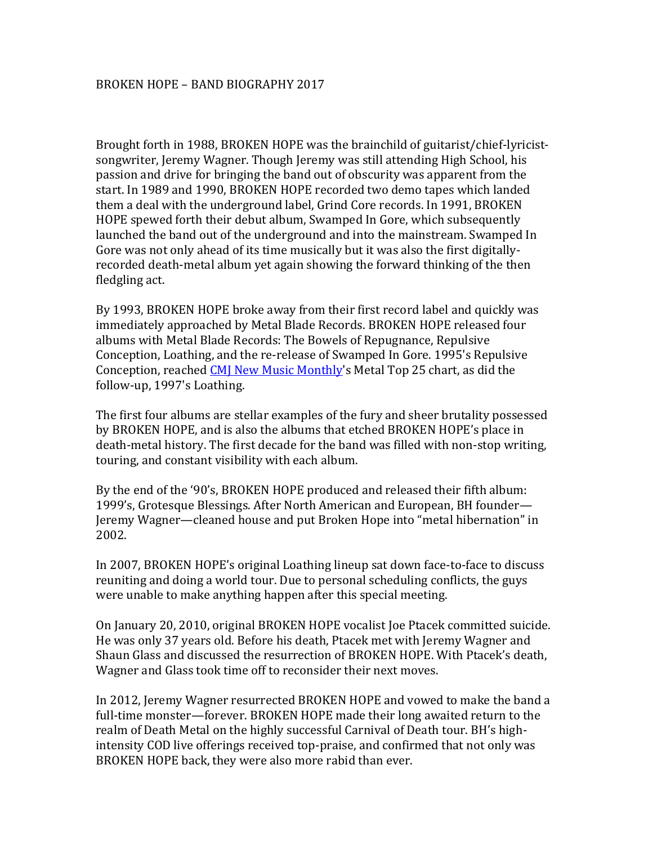Brought forth in 1988, BROKEN HOPE was the brainchild of guitarist/chief-lyricistsongwriter, Jeremy Wagner. Though Jeremy was still attending High School, his passion and drive for bringing the band out of obscurity was apparent from the start. In 1989 and 1990, BROKEN HOPE recorded two demo tapes which landed them a deal with the underground label, Grind Core records. In 1991, BROKEN HOPE spewed forth their debut album, Swamped In Gore, which subsequently launched the band out of the underground and into the mainstream. Swamped In Gore was not only ahead of its time musically but it was also the first digitallyrecorded death-metal album yet again showing the forward thinking of the then fledgling act.

By 1993, BROKEN HOPE broke away from their first record label and quickly was immediately approached by Metal Blade Records. BROKEN HOPE released four albums with Metal Blade Records: The Bowels of Repugnance, Repulsive Conception, Loathing, and the re-release of Swamped In Gore. 1995's Repulsive Conception, reached [CMJ New Music Monthly'](http://en.wikipedia.org/wiki/CMJ_New_Music)s Metal Top 25 chart, as did the follow-up, 1997's Loathing.

The first four albums are stellar examples of the fury and sheer brutality possessed by BROKEN HOPE, and is also the albums that etched BROKEN HOPE's place in death-metal history. The first decade for the band was filled with non-stop writing, touring, and constant visibility with each album.

By the end of the '90's, BROKEN HOPE produced and released their fifth album: 1999's, Grotesque Blessings. After North American and European, BH founder— Jeremy Wagner—cleaned house and put Broken Hope into "metal hibernation" in 2002.

In 2007, BROKEN HOPE's original Loathing lineup sat down face-to-face to discuss reuniting and doing a world tour. Due to personal scheduling conflicts, the guys were unable to make anything happen after this special meeting.

On January 20, 2010, original BROKEN HOPE vocalist Joe Ptacek committed suicide. He was only 37 years old. Before his death, Ptacek met with Jeremy Wagner and Shaun Glass and discussed the resurrection of BROKEN HOPE. With Ptacek's death, Wagner and Glass took time off to reconsider their next moves.

In 2012, Jeremy Wagner resurrected BROKEN HOPE and vowed to make the band a full-time monster—forever. BROKEN HOPE made their long awaited return to the realm of Death Metal on the highly successful Carnival of Death tour. BH's highintensity COD live offerings received top-praise, and confirmed that not only was BROKEN HOPE back, they were also more rabid than ever.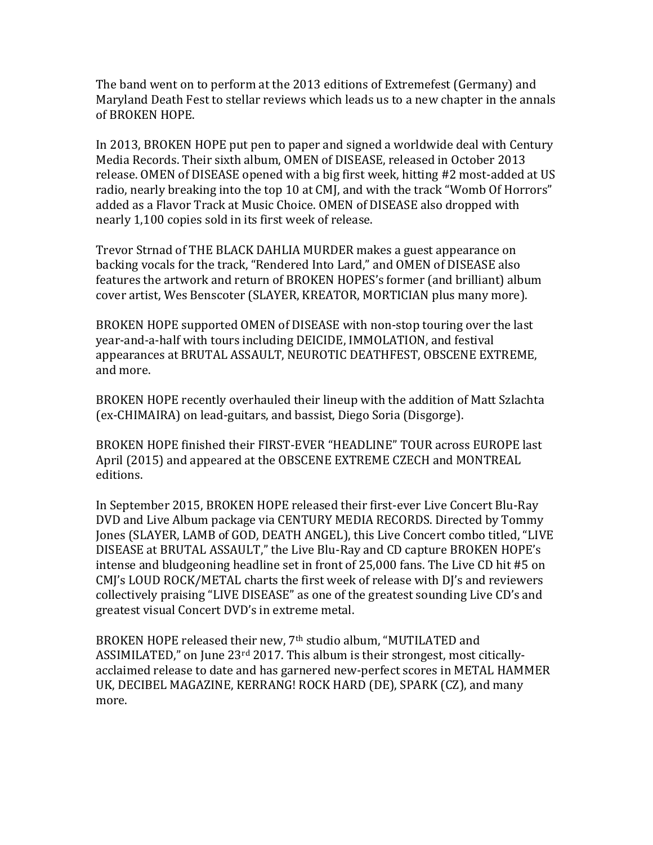The band went on to perform at the 2013 editions of Extremefest (Germany) and Maryland Death Fest to stellar reviews which leads us to a new chapter in the annals of BROKEN HOPE.

In 2013, BROKEN HOPE put pen to paper and signed a worldwide deal with Century Media Records. Their sixth album, OMEN of DISEASE, released in October 2013 release. OMEN of DISEASE opened with a big first week, hitting #2 most-added at US radio, nearly breaking into the top 10 at CMJ, and with the track "Womb Of Horrors" added as a Flavor Track at Music Choice. OMEN of DISEASE also dropped with nearly 1,100 copies sold in its first week of release.

Trevor Strnad of THE BLACK DAHLIA MURDER makes a guest appearance on backing vocals for the track, "Rendered Into Lard," and OMEN of DISEASE also features the artwork and return of BROKEN HOPES's former (and brilliant) album cover artist, Wes Benscoter (SLAYER, KREATOR, MORTICIAN plus many more).

BROKEN HOPE supported OMEN of DISEASE with non-stop touring over the last year-and-a-half with tours including DEICIDE, IMMOLATION, and festival appearances at BRUTAL ASSAULT, NEUROTIC DEATHFEST, OBSCENE EXTREME, and more.

BROKEN HOPE recently overhauled their lineup with the addition of Matt Szlachta (ex-CHIMAIRA) on lead-guitars, and bassist, Diego Soria (Disgorge).

BROKEN HOPE finished their FIRST-EVER "HEADLINE" TOUR across EUROPE last April (2015) and appeared at the OBSCENE EXTREME CZECH and MONTREAL editions.

In September 2015, BROKEN HOPE released their first-ever Live Concert Blu-Ray DVD and Live Album package via CENTURY MEDIA RECORDS. Directed by Tommy Jones (SLAYER, LAMB of GOD, DEATH ANGEL), this Live Concert combo titled, "LIVE DISEASE at BRUTAL ASSAULT," the Live Blu-Ray and CD capture BROKEN HOPE's intense and bludgeoning headline set in front of 25,000 fans. The Live CD hit #5 on CMJ's LOUD ROCK/METAL charts the first week of release with DJ's and reviewers collectively praising "LIVE DISEASE" as one of the greatest sounding Live CD's and greatest visual Concert DVD's in extreme metal.

BROKEN HOPE released their new, 7th studio album, "MUTILATED and ASSIMILATED," on June 23<sup>rd</sup> 2017. This album is their strongest, most citicallyacclaimed release to date and has garnered new-perfect scores in METAL HAMMER UK, DECIBEL MAGAZINE, KERRANG! ROCK HARD (DE), SPARK (CZ), and many more.